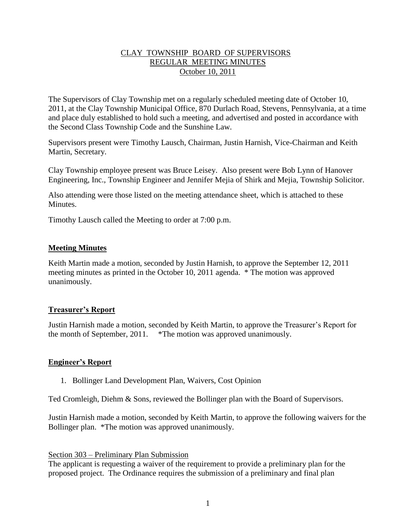## CLAY TOWNSHIP BOARD OF SUPERVISORS REGULAR MEETING MINUTES October 10, 2011

The Supervisors of Clay Township met on a regularly scheduled meeting date of October 10, 2011, at the Clay Township Municipal Office, 870 Durlach Road, Stevens, Pennsylvania, at a time and place duly established to hold such a meeting, and advertised and posted in accordance with the Second Class Township Code and the Sunshine Law.

Supervisors present were Timothy Lausch, Chairman, Justin Harnish, Vice-Chairman and Keith Martin, Secretary.

Clay Township employee present was Bruce Leisey. Also present were Bob Lynn of Hanover Engineering, Inc., Township Engineer and Jennifer Mejia of Shirk and Mejia, Township Solicitor.

Also attending were those listed on the meeting attendance sheet, which is attached to these Minutes.

Timothy Lausch called the Meeting to order at 7:00 p.m.

## **Meeting Minutes**

Keith Martin made a motion, seconded by Justin Harnish, to approve the September 12, 2011 meeting minutes as printed in the October 10, 2011 agenda. \* The motion was approved unanimously.

## **Treasurer's Report**

Justin Harnish made a motion, seconded by Keith Martin, to approve the Treasurer's Report for the month of September, 2011. \*The motion was approved unanimously.

## **Engineer's Report**

1. Bollinger Land Development Plan, Waivers, Cost Opinion

Ted Cromleigh, Diehm & Sons, reviewed the Bollinger plan with the Board of Supervisors.

Justin Harnish made a motion, seconded by Keith Martin, to approve the following waivers for the Bollinger plan. \*The motion was approved unanimously.

## Section 303 – Preliminary Plan Submission

The applicant is requesting a waiver of the requirement to provide a preliminary plan for the proposed project. The Ordinance requires the submission of a preliminary and final plan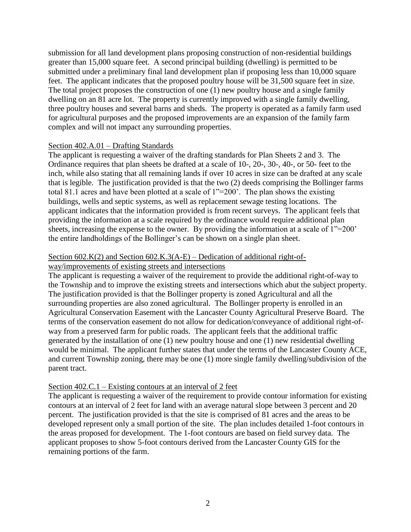submission for all land development plans proposing construction of non-residential buildings greater than 15,000 square feet. A second principal building (dwelling) is permitted to be submitted under a preliminary final land development plan if proposing less than 10,000 square feet. The applicant indicates that the proposed poultry house will be 31,500 square feet in size. The total project proposes the construction of one (1) new poultry house and a single family dwelling on an 81 acre lot. The property is currently improved with a single family dwelling, three poultry houses and several barns and sheds. The property is operated as a family farm used for agricultural purposes and the proposed improvements are an expansion of the family farm complex and will not impact any surrounding properties.

## Section 402.A.01 – Drafting Standards

The applicant is requesting a waiver of the drafting standards for Plan Sheets 2 and 3. The Ordinance requires that plan sheets be drafted at a scale of 10-, 20-, 30-, 40-, or 50- feet to the inch, while also stating that all remaining lands if over 10 acres in size can be drafted at any scale that is legible. The justification provided is that the two (2) deeds comprising the Bollinger farms total 81.1 acres and have been plotted at a scale of 1"=200'. The plan shows the existing buildings, wells and septic systems, as well as replacement sewage testing locations. The applicant indicates that the information provided is from recent surveys. The applicant feels that providing the information at a scale required by the ordinance would require additional plan sheets, increasing the expense to the owner. By providing the information at a scale of 1"=200" the entire landholdings of the Bollinger's can be shown on a single plan sheet.

## Section  $602.K(2)$  and Section  $602.K.3(A-E)$  – Dedication of additional right-of-

way/improvements of existing streets and intersections

The applicant is requesting a waiver of the requirement to provide the additional right-of-way to the Township and to improve the existing streets and intersections which abut the subject property. The justification provided is that the Bollinger property is zoned Agricultural and all the surrounding properties are also zoned agricultural. The Bollinger property is enrolled in an Agricultural Conservation Easement with the Lancaster County Agricultural Preserve Board. The terms of the conservation easement do not allow for dedication/conveyance of additional right-ofway from a preserved farm for public roads. The applicant feels that the additional traffic generated by the installation of one (1) new poultry house and one (1) new residential dwelling would be minimal. The applicant further states that under the terms of the Lancaster County ACE, and current Township zoning, there may be one (1) more single family dwelling/subdivision of the parent tract.

## Section 402.C.1 – Existing contours at an interval of 2 feet

The applicant is requesting a waiver of the requirement to provide contour information for existing contours at an interval of 2 feet for land with an average natural slope between 3 percent and 20 percent. The justification provided is that the site is comprised of 81 acres and the areas to be developed represent only a small portion of the site. The plan includes detailed 1-foot contours in the areas proposed for development. The 1-foot contours are based on field survey data. The applicant proposes to show 5-foot contours derived from the Lancaster County GIS for the remaining portions of the farm.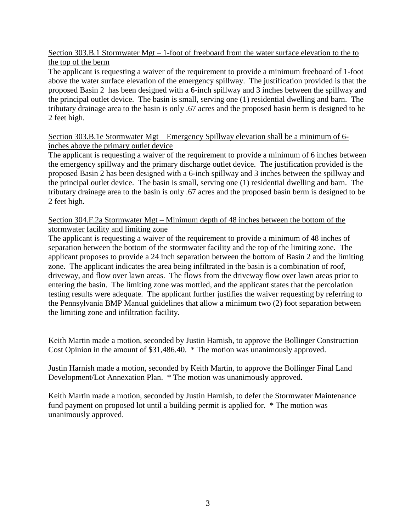Section 303.B.1 Stormwater Mgt – 1-foot of freeboard from the water surface elevation to the to the top of the berm

The applicant is requesting a waiver of the requirement to provide a minimum freeboard of 1-foot above the water surface elevation of the emergency spillway. The justification provided is that the proposed Basin 2 has been designed with a 6-inch spillway and 3 inches between the spillway and the principal outlet device. The basin is small, serving one (1) residential dwelling and barn. The tributary drainage area to the basin is only .67 acres and the proposed basin berm is designed to be 2 feet high.

## Section 303.B.1e Stormwater Mgt – Emergency Spillway elevation shall be a minimum of 6 inches above the primary outlet device

The applicant is requesting a waiver of the requirement to provide a minimum of 6 inches between the emergency spillway and the primary discharge outlet device. The justification provided is the proposed Basin 2 has been designed with a 6-inch spillway and 3 inches between the spillway and the principal outlet device. The basin is small, serving one (1) residential dwelling and barn. The tributary drainage area to the basin is only .67 acres and the proposed basin berm is designed to be 2 feet high.

## Section 304.F.2a Stormwater Mgt – Minimum depth of 48 inches between the bottom of the stormwater facility and limiting zone

The applicant is requesting a waiver of the requirement to provide a minimum of 48 inches of separation between the bottom of the stormwater facility and the top of the limiting zone. The applicant proposes to provide a 24 inch separation between the bottom of Basin 2 and the limiting zone. The applicant indicates the area being infiltrated in the basin is a combination of roof, driveway, and flow over lawn areas. The flows from the driveway flow over lawn areas prior to entering the basin. The limiting zone was mottled, and the applicant states that the percolation testing results were adequate. The applicant further justifies the waiver requesting by referring to the Pennsylvania BMP Manual guidelines that allow a minimum two (2) foot separation between the limiting zone and infiltration facility.

Keith Martin made a motion, seconded by Justin Harnish, to approve the Bollinger Construction Cost Opinion in the amount of \$31,486.40. \* The motion was unanimously approved.

Justin Harnish made a motion, seconded by Keith Martin, to approve the Bollinger Final Land Development/Lot Annexation Plan. \* The motion was unanimously approved.

Keith Martin made a motion, seconded by Justin Harnish, to defer the Stormwater Maintenance fund payment on proposed lot until a building permit is applied for. \* The motion was unanimously approved.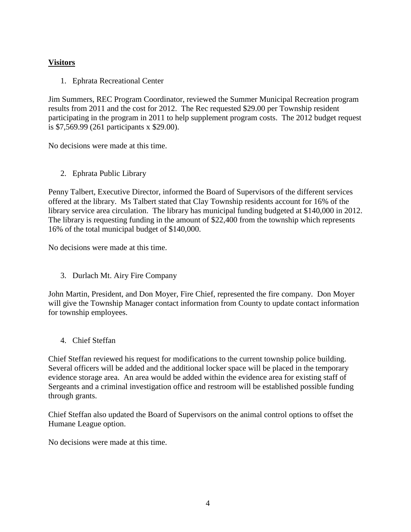# **Visitors**

1. Ephrata Recreational Center

Jim Summers, REC Program Coordinator, reviewed the Summer Municipal Recreation program results from 2011 and the cost for 2012. The Rec requested \$29.00 per Township resident participating in the program in 2011 to help supplement program costs. The 2012 budget request is \$7,569.99 (261 participants x \$29.00).

No decisions were made at this time.

2. Ephrata Public Library

Penny Talbert, Executive Director, informed the Board of Supervisors of the different services offered at the library. Ms Talbert stated that Clay Township residents account for 16% of the library service area circulation. The library has municipal funding budgeted at \$140,000 in 2012. The library is requesting funding in the amount of \$22,400 from the township which represents 16% of the total municipal budget of \$140,000.

No decisions were made at this time.

3. Durlach Mt. Airy Fire Company

John Martin, President, and Don Moyer, Fire Chief, represented the fire company. Don Moyer will give the Township Manager contact information from County to update contact information for township employees.

4. Chief Steffan

Chief Steffan reviewed his request for modifications to the current township police building. Several officers will be added and the additional locker space will be placed in the temporary evidence storage area. An area would be added within the evidence area for existing staff of Sergeants and a criminal investigation office and restroom will be established possible funding through grants.

Chief Steffan also updated the Board of Supervisors on the animal control options to offset the Humane League option.

No decisions were made at this time.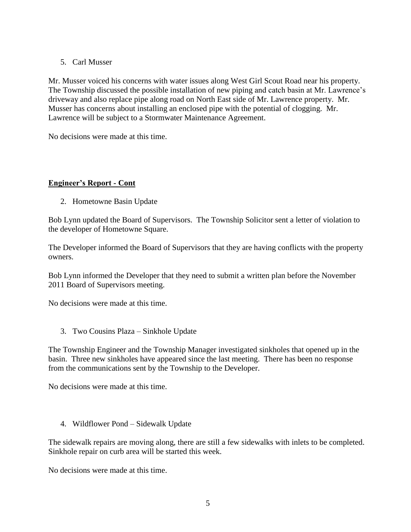## 5. Carl Musser

Mr. Musser voiced his concerns with water issues along West Girl Scout Road near his property. The Township discussed the possible installation of new piping and catch basin at Mr. Lawrence's driveway and also replace pipe along road on North East side of Mr. Lawrence property. Mr. Musser has concerns about installing an enclosed pipe with the potential of clogging. Mr. Lawrence will be subject to a Stormwater Maintenance Agreement.

No decisions were made at this time.

# **Engineer's Report - Cont**

2. Hometowne Basin Update

Bob Lynn updated the Board of Supervisors. The Township Solicitor sent a letter of violation to the developer of Hometowne Square.

The Developer informed the Board of Supervisors that they are having conflicts with the property owners.

Bob Lynn informed the Developer that they need to submit a written plan before the November 2011 Board of Supervisors meeting.

No decisions were made at this time.

3. Two Cousins Plaza – Sinkhole Update

The Township Engineer and the Township Manager investigated sinkholes that opened up in the basin. Three new sinkholes have appeared since the last meeting. There has been no response from the communications sent by the Township to the Developer.

No decisions were made at this time.

4. Wildflower Pond – Sidewalk Update

The sidewalk repairs are moving along, there are still a few sidewalks with inlets to be completed. Sinkhole repair on curb area will be started this week.

No decisions were made at this time.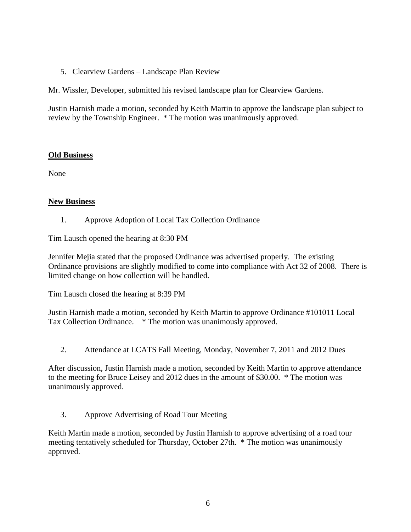5. Clearview Gardens – Landscape Plan Review

Mr. Wissler, Developer, submitted his revised landscape plan for Clearview Gardens.

Justin Harnish made a motion, seconded by Keith Martin to approve the landscape plan subject to review by the Township Engineer. \* The motion was unanimously approved.

## **Old Business**

None

## **New Business**

1. Approve Adoption of Local Tax Collection Ordinance

Tim Lausch opened the hearing at 8:30 PM

Jennifer Mejia stated that the proposed Ordinance was advertised properly. The existing Ordinance provisions are slightly modified to come into compliance with Act 32 of 2008. There is limited change on how collection will be handled.

Tim Lausch closed the hearing at 8:39 PM

Justin Harnish made a motion, seconded by Keith Martin to approve Ordinance #101011 Local Tax Collection Ordinance. \* The motion was unanimously approved.

2. Attendance at LCATS Fall Meeting, Monday, November 7, 2011 and 2012 Dues

After discussion, Justin Harnish made a motion, seconded by Keith Martin to approve attendance to the meeting for Bruce Leisey and 2012 dues in the amount of \$30.00. \* The motion was unanimously approved.

3. Approve Advertising of Road Tour Meeting

Keith Martin made a motion, seconded by Justin Harnish to approve advertising of a road tour meeting tentatively scheduled for Thursday, October 27th. \* The motion was unanimously approved.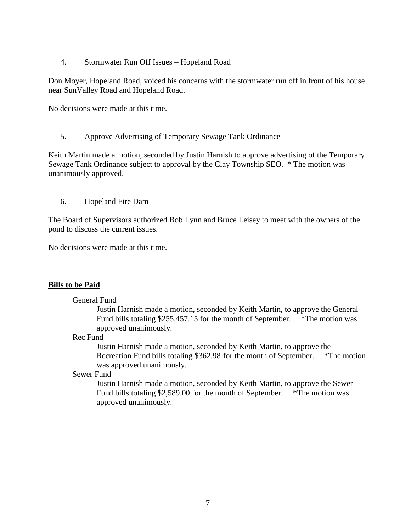4. Stormwater Run Off Issues – Hopeland Road

Don Moyer, Hopeland Road, voiced his concerns with the stormwater run off in front of his house near SunValley Road and Hopeland Road.

No decisions were made at this time.

5. Approve Advertising of Temporary Sewage Tank Ordinance

Keith Martin made a motion, seconded by Justin Harnish to approve advertising of the Temporary Sewage Tank Ordinance subject to approval by the Clay Township SEO. \* The motion was unanimously approved.

6. Hopeland Fire Dam

The Board of Supervisors authorized Bob Lynn and Bruce Leisey to meet with the owners of the pond to discuss the current issues.

No decisions were made at this time.

## **Bills to be Paid**

#### General Fund

Justin Harnish made a motion, seconded by Keith Martin, to approve the General Fund bills totaling \$255,457.15 for the month of September. \*The motion was approved unanimously.

#### Rec Fund

Justin Harnish made a motion, seconded by Keith Martin, to approve the Recreation Fund bills totaling \$362.98 for the month of September. \*The motion was approved unanimously.

#### Sewer Fund

Justin Harnish made a motion, seconded by Keith Martin, to approve the Sewer Fund bills totaling \$2,589.00 for the month of September. \*The motion was approved unanimously.